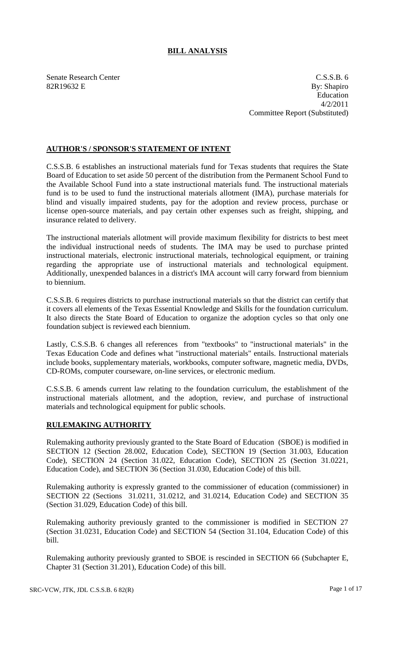# **BILL ANALYSIS**

Senate Research Center C.S.S.B. 6  $82R19632$  E By: Shapiro Education 4/2/2011 Committee Report (Substituted)

### **AUTHOR'S / SPONSOR'S STATEMENT OF INTENT**

C.S.S.B. 6 establishes an instructional materials fund for Texas students that requires the State Board of Education to set aside 50 percent of the distribution from the Permanent School Fund to the Available School Fund into a state instructional materials fund. The instructional materials fund is to be used to fund the instructional materials allotment (IMA), purchase materials for blind and visually impaired students, pay for the adoption and review process, purchase or license open-source materials, and pay certain other expenses such as freight, shipping, and insurance related to delivery.

The instructional materials allotment will provide maximum flexibility for districts to best meet the individual instructional needs of students. The IMA may be used to purchase printed instructional materials, electronic instructional materials, technological equipment, or training regarding the appropriate use of instructional materials and technological equipment. Additionally, unexpended balances in a district's IMA account will carry forward from biennium to biennium.

C.S.S.B. 6 requires districts to purchase instructional materials so that the district can certify that it covers all elements of the Texas Essential Knowledge and Skills for the foundation curriculum. It also directs the State Board of Education to organize the adoption cycles so that only one foundation subject is reviewed each biennium.

Lastly, C.S.S.B. 6 changes all references from "textbooks" to "instructional materials" in the Texas Education Code and defines what "instructional materials" entails. Instructional materials include books, supplementary materials, workbooks, computer software, magnetic media, DVDs, CD-ROMs, computer courseware, on-line services, or electronic medium.

C.S.S.B. 6 amends current law relating to the foundation curriculum, the establishment of the instructional materials allotment, and the adoption, review, and purchase of instructional materials and technological equipment for public schools.

### **RULEMAKING AUTHORITY**

Rulemaking authority previously granted to the State Board of Education (SBOE) is modified in SECTION 12 (Section 28.002, Education Code), SECTION 19 (Section 31.003, Education Code), SECTION 24 (Section 31.022, Education Code), SECTION 25 (Section 31.0221, Education Code), and SECTION 36 (Section 31.030, Education Code) of this bill.

Rulemaking authority is expressly granted to the commissioner of education (commissioner) in SECTION 22 (Sections 31.0211, 31.0212, and 31.0214, Education Code) and SECTION 35 (Section 31.029, Education Code) of this bill.

Rulemaking authority previously granted to the commissioner is modified in SECTION 27 (Section 31.0231, Education Code) and SECTION 54 (Section 31.104, Education Code) of this bill.

Rulemaking authority previously granted to SBOE is rescinded in SECTION 66 (Subchapter E, Chapter 31 (Section 31.201), Education Code) of this bill.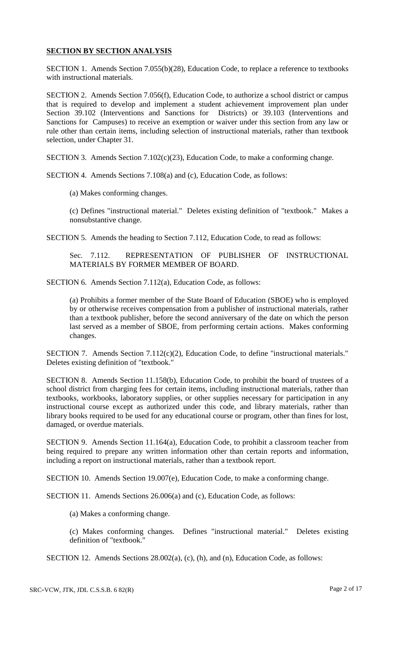### **SECTION BY SECTION ANALYSIS**

SECTION 1. Amends Section 7.055(b)(28), Education Code, to replace a reference to textbooks with instructional materials.

SECTION 2. Amends Section 7.056(f), Education Code, to authorize a school district or campus that is required to develop and implement a student achievement improvement plan under Section 39.102 (Interventions and Sanctions for Districts) or 39.103 (Interventions and Sanctions for Campuses) to receive an exemption or waiver under this section from any law or rule other than certain items, including selection of instructional materials, rather than textbook selection, under Chapter 31.

SECTION 3. Amends Section 7.102(c)(23), Education Code, to make a conforming change.

SECTION 4. Amends Sections 7.108(a) and (c), Education Code, as follows:

(a) Makes conforming changes.

(c) Defines "instructional material." Deletes existing definition of "textbook." Makes a nonsubstantive change.

SECTION 5. Amends the heading to Section 7.112, Education Code, to read as follows:

Sec. 7.112. REPRESENTATION OF PUBLISHER OF INSTRUCTIONAL MATERIALS BY FORMER MEMBER OF BOARD.

SECTION 6. Amends Section 7.112(a), Education Code, as follows:

(a) Prohibits a former member of the State Board of Education (SBOE) who is employed by or otherwise receives compensation from a publisher of instructional materials, rather than a textbook publisher, before the second anniversary of the date on which the person last served as a member of SBOE, from performing certain actions. Makes conforming changes.

SECTION 7. Amends Section 7.112(c)(2), Education Code, to define "instructional materials." Deletes existing definition of "textbook."

SECTION 8. Amends Section 11.158(b), Education Code, to prohibit the board of trustees of a school district from charging fees for certain items, including instructional materials, rather than textbooks, workbooks, laboratory supplies, or other supplies necessary for participation in any instructional course except as authorized under this code, and library materials, rather than library books required to be used for any educational course or program, other than fines for lost, damaged, or overdue materials.

SECTION 9. Amends Section 11.164(a), Education Code, to prohibit a classroom teacher from being required to prepare any written information other than certain reports and information, including a report on instructional materials, rather than a textbook report.

SECTION 10. Amends Section 19.007(e), Education Code, to make a conforming change.

SECTION 11. Amends Sections 26.006(a) and (c), Education Code, as follows:

(a) Makes a conforming change.

(c) Makes conforming changes. Defines "instructional material." Deletes existing definition of "textbook."

SECTION 12. Amends Sections 28.002(a), (c), (h), and (n), Education Code, as follows: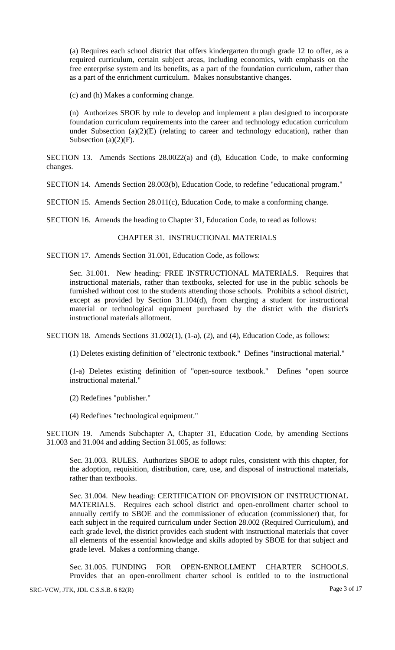(a) Requires each school district that offers kindergarten through grade 12 to offer, as a required curriculum, certain subject areas, including economics, with emphasis on the free enterprise system and its benefits, as a part of the foundation curriculum, rather than as a part of the enrichment curriculum. Makes nonsubstantive changes.

(c) and (h) Makes a conforming change.

(n) Authorizes SBOE by rule to develop and implement a plan designed to incorporate foundation curriculum requirements into the career and technology education curriculum under Subsection  $(a)(2)(E)$  (relating to career and technology education), rather than Subsection  $(a)(2)(F)$ .

SECTION 13. Amends Sections 28.0022(a) and (d), Education Code, to make conforming changes.

SECTION 14. Amends Section 28.003(b), Education Code, to redefine "educational program."

SECTION 15. Amends Section 28.011(c), Education Code, to make a conforming change.

SECTION 16. Amends the heading to Chapter 31, Education Code, to read as follows:

#### CHAPTER 31. INSTRUCTIONAL MATERIALS

SECTION 17. Amends Section 31.001, Education Code, as follows:

Sec. 31.001. New heading: FREE INSTRUCTIONAL MATERIALS. Requires that instructional materials, rather than textbooks, selected for use in the public schools be furnished without cost to the students attending those schools. Prohibits a school district, except as provided by Section 31.104(d), from charging a student for instructional material or technological equipment purchased by the district with the district's instructional materials allotment.

SECTION 18. Amends Sections 31.002(1), (1-a), (2), and (4), Education Code, as follows:

(1) Deletes existing definition of "electronic textbook." Defines "instructional material."

(1-a) Deletes existing definition of "open-source textbook." Defines "open source instructional material."

(2) Redefines "publisher."

(4) Redefines "technological equipment."

SECTION 19. Amends Subchapter A, Chapter 31, Education Code, by amending Sections 31.003 and 31.004 and adding Section 31.005, as follows:

Sec. 31.003. RULES. Authorizes SBOE to adopt rules, consistent with this chapter, for the adoption, requisition, distribution, care, use, and disposal of instructional materials, rather than textbooks.

Sec. 31.004. New heading: CERTIFICATION OF PROVISION OF INSTRUCTIONAL MATERIALS. Requires each school district and open-enrollment charter school to annually certify to SBOE and the commissioner of education (commissioner) that, for each subject in the required curriculum under Section 28.002 (Required Curriculum), and each grade level, the district provides each student with instructional materials that cover all elements of the essential knowledge and skills adopted by SBOE for that subject and grade level. Makes a conforming change.

Sec. 31.005. FUNDING FOR OPEN-ENROLLMENT CHARTER SCHOOLS. Provides that an open-enrollment charter school is entitled to to the instructional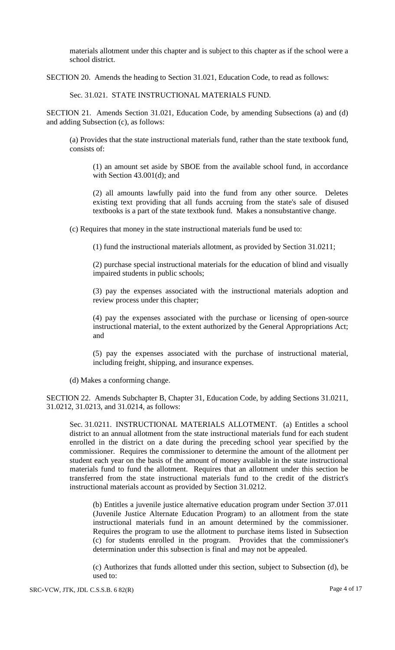materials allotment under this chapter and is subject to this chapter as if the school were a school district.

SECTION 20. Amends the heading to Section 31.021, Education Code, to read as follows:

Sec. 31.021. STATE INSTRUCTIONAL MATERIALS FUND.

SECTION 21. Amends Section 31.021, Education Code, by amending Subsections (a) and (d) and adding Subsection (c), as follows:

(a) Provides that the state instructional materials fund, rather than the state textbook fund, consists of:

(1) an amount set aside by SBOE from the available school fund, in accordance with Section 43.001(d); and

(2) all amounts lawfully paid into the fund from any other source. Deletes existing text providing that all funds accruing from the state's sale of disused textbooks is a part of the state textbook fund. Makes a nonsubstantive change.

(c) Requires that money in the state instructional materials fund be used to:

(1) fund the instructional materials allotment, as provided by Section 31.0211;

(2) purchase special instructional materials for the education of blind and visually impaired students in public schools;

(3) pay the expenses associated with the instructional materials adoption and review process under this chapter;

(4) pay the expenses associated with the purchase or licensing of open-source instructional material, to the extent authorized by the General Appropriations Act; and

(5) pay the expenses associated with the purchase of instructional material, including freight, shipping, and insurance expenses.

(d) Makes a conforming change.

SECTION 22. Amends Subchapter B, Chapter 31, Education Code, by adding Sections 31.0211, 31.0212, 31.0213, and 31.0214, as follows:

Sec. 31.0211. INSTRUCTIONAL MATERIALS ALLOTMENT. (a) Entitles a school district to an annual allotment from the state instructional materials fund for each student enrolled in the district on a date during the preceding school year specified by the commissioner. Requires the commissioner to determine the amount of the allotment per student each year on the basis of the amount of money available in the state instructional materials fund to fund the allotment. Requires that an allotment under this section be transferred from the state instructional materials fund to the credit of the district's instructional materials account as provided by Section 31.0212.

(b) Entitles a juvenile justice alternative education program under Section 37.011 (Juvenile Justice Alternate Education Program) to an allotment from the state instructional materials fund in an amount determined by the commissioner. Requires the program to use the allotment to purchase items listed in Subsection (c) for students enrolled in the program. Provides that the commissioner's determination under this subsection is final and may not be appealed.

(c) Authorizes that funds allotted under this section, subject to Subsection (d), be used to: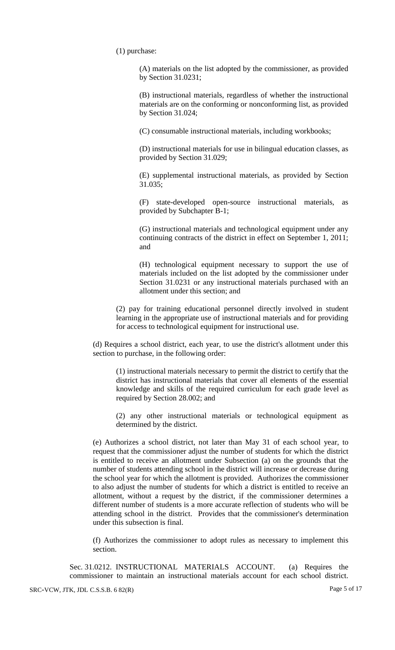(1) purchase:

(A) materials on the list adopted by the commissioner, as provided by Section 31.0231;

(B) instructional materials, regardless of whether the instructional materials are on the conforming or nonconforming list, as provided by Section 31.024;

(C) consumable instructional materials, including workbooks;

(D) instructional materials for use in bilingual education classes, as provided by Section 31.029;

(E) supplemental instructional materials, as provided by Section 31.035;

(F) state-developed open-source instructional materials, as provided by Subchapter B-1;

(G) instructional materials and technological equipment under any continuing contracts of the district in effect on September 1, 2011; and

(H) technological equipment necessary to support the use of materials included on the list adopted by the commissioner under Section 31.0231 or any instructional materials purchased with an allotment under this section; and

(2) pay for training educational personnel directly involved in student learning in the appropriate use of instructional materials and for providing for access to technological equipment for instructional use.

(d) Requires a school district, each year, to use the district's allotment under this section to purchase, in the following order:

(1) instructional materials necessary to permit the district to certify that the district has instructional materials that cover all elements of the essential knowledge and skills of the required curriculum for each grade level as required by Section 28.002; and

(2) any other instructional materials or technological equipment as determined by the district.

(e) Authorizes a school district, not later than May 31 of each school year, to request that the commissioner adjust the number of students for which the district is entitled to receive an allotment under Subsection (a) on the grounds that the number of students attending school in the district will increase or decrease during the school year for which the allotment is provided. Authorizes the commissioner to also adjust the number of students for which a district is entitled to receive an allotment, without a request by the district, if the commissioner determines a different number of students is a more accurate reflection of students who will be attending school in the district. Provides that the commissioner's determination under this subsection is final.

(f) Authorizes the commissioner to adopt rules as necessary to implement this section.

Sec. 31.0212. INSTRUCTIONAL MATERIALS ACCOUNT. (a) Requires the commissioner to maintain an instructional materials account for each school district.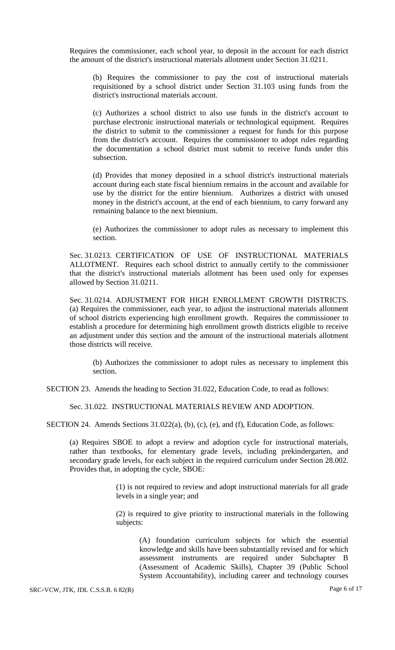Requires the commissioner, each school year, to deposit in the account for each district the amount of the district's instructional materials allotment under Section 31.0211.

(b) Requires the commissioner to pay the cost of instructional materials requisitioned by a school district under Section 31.103 using funds from the district's instructional materials account.

(c) Authorizes a school district to also use funds in the district's account to purchase electronic instructional materials or technological equipment. Requires the district to submit to the commissioner a request for funds for this purpose from the district's account. Requires the commissioner to adopt rules regarding the documentation a school district must submit to receive funds under this subsection.

(d) Provides that money deposited in a school district's instructional materials account during each state fiscal biennium remains in the account and available for use by the district for the entire biennium. Authorizes a district with unused money in the district's account, at the end of each biennium, to carry forward any remaining balance to the next biennium.

(e) Authorizes the commissioner to adopt rules as necessary to implement this section.

Sec. 31.0213. CERTIFICATION OF USE OF INSTRUCTIONAL MATERIALS ALLOTMENT. Requires each school district to annually certify to the commissioner that the district's instructional materials allotment has been used only for expenses allowed by Section 31.0211.

Sec. 31.0214. ADJUSTMENT FOR HIGH ENROLLMENT GROWTH DISTRICTS. (a) Requires the commissioner, each year, to adjust the instructional materials allotment of school districts experiencing high enrollment growth. Requires the commissioner to establish a procedure for determining high enrollment growth districts eligible to receive an adjustment under this section and the amount of the instructional materials allotment those districts will receive.

(b) Authorizes the commissioner to adopt rules as necessary to implement this section.

SECTION 23. Amends the heading to Section 31.022, Education Code, to read as follows:

Sec. 31.022. INSTRUCTIONAL MATERIALS REVIEW AND ADOPTION.

SECTION 24. Amends Sections 31.022(a), (b), (c), (e), and (f), Education Code, as follows:

(a) Requires SBOE to adopt a review and adoption cycle for instructional materials, rather than textbooks, for elementary grade levels, including prekindergarten, and secondary grade levels, for each subject in the required curriculum under Section 28.002. Provides that, in adopting the cycle, SBOE:

> (1) is not required to review and adopt instructional materials for all grade levels in a single year; and

> (2) is required to give priority to instructional materials in the following subjects:

(A) foundation curriculum subjects for which the essential knowledge and skills have been substantially revised and for which assessment instruments are required under Subchapter B (Assessment of Academic Skills), Chapter 39 (Public School System Accountability), including career and technology courses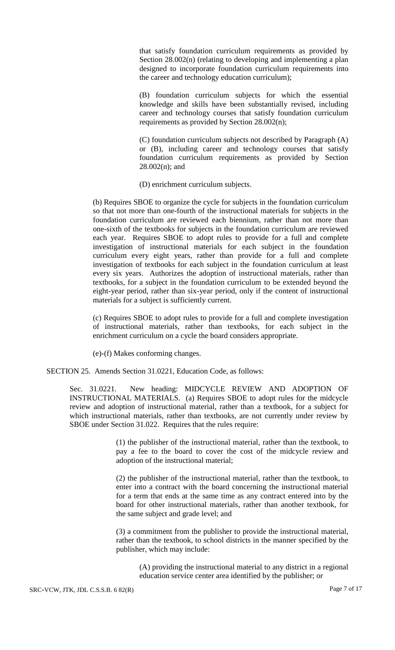that satisfy foundation curriculum requirements as provided by Section 28.002(n) (relating to developing and implementing a plan designed to incorporate foundation curriculum requirements into the career and technology education curriculum);

(B) foundation curriculum subjects for which the essential knowledge and skills have been substantially revised, including career and technology courses that satisfy foundation curriculum requirements as provided by Section 28.002(n);

(C) foundation curriculum subjects not described by Paragraph (A) or (B), including career and technology courses that satisfy foundation curriculum requirements as provided by Section 28.002(n); and

(D) enrichment curriculum subjects.

(b) Requires SBOE to organize the cycle for subjects in the foundation curriculum so that not more than one-fourth of the instructional materials for subjects in the foundation curriculum are reviewed each biennium, rather than not more than one-sixth of the textbooks for subjects in the foundation curriculum are reviewed each year. Requires SBOE to adopt rules to provide for a full and complete investigation of instructional materials for each subject in the foundation curriculum every eight years, rather than provide for a full and complete investigation of textbooks for each subject in the foundation curriculum at least every six years. Authorizes the adoption of instructional materials, rather than textbooks, for a subject in the foundation curriculum to be extended beyond the eight-year period, rather than six-year period, only if the content of instructional materials for a subject is sufficiently current.

(c) Requires SBOE to adopt rules to provide for a full and complete investigation of instructional materials, rather than textbooks, for each subject in the enrichment curriculum on a cycle the board considers appropriate.

(e)-(f) Makes conforming changes.

SECTION 25. Amends Section 31.0221, Education Code, as follows:

Sec. 31.0221. New heading: MIDCYCLE REVIEW AND ADOPTION OF INSTRUCTIONAL MATERIALS. (a) Requires SBOE to adopt rules for the midcycle review and adoption of instructional material, rather than a textbook, for a subject for which instructional materials, rather than textbooks, are not currently under review by SBOE under Section 31.022. Requires that the rules require:

> (1) the publisher of the instructional material, rather than the textbook, to pay a fee to the board to cover the cost of the midcycle review and adoption of the instructional material;

> (2) the publisher of the instructional material, rather than the textbook, to enter into a contract with the board concerning the instructional material for a term that ends at the same time as any contract entered into by the board for other instructional materials, rather than another textbook, for the same subject and grade level; and

> (3) a commitment from the publisher to provide the instructional material, rather than the textbook, to school districts in the manner specified by the publisher, which may include:

(A) providing the instructional material to any district in a regional education service center area identified by the publisher; or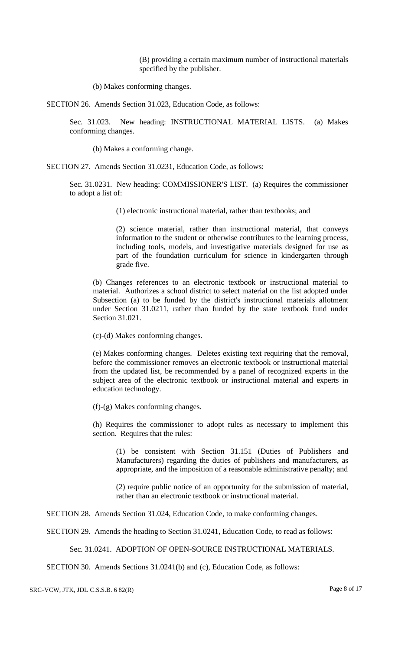(B) providing a certain maximum number of instructional materials specified by the publisher.

(b) Makes conforming changes.

SECTION 26. Amends Section 31.023, Education Code, as follows:

Sec. 31.023. New heading: INSTRUCTIONAL MATERIAL LISTS. (a) Makes conforming changes.

(b) Makes a conforming change.

SECTION 27. Amends Section 31.0231, Education Code, as follows:

Sec. 31.0231. New heading: COMMISSIONER'S LIST. (a) Requires the commissioner to adopt a list of:

(1) electronic instructional material, rather than textbooks; and

(2) science material, rather than instructional material, that conveys information to the student or otherwise contributes to the learning process, including tools, models, and investigative materials designed for use as part of the foundation curriculum for science in kindergarten through grade five.

(b) Changes references to an electronic textbook or instructional material to material. Authorizes a school district to select material on the list adopted under Subsection (a) to be funded by the district's instructional materials allotment under Section 31.0211, rather than funded by the state textbook fund under Section 31.021.

(c)-(d) Makes conforming changes.

(e) Makes conforming changes. Deletes existing text requiring that the removal, before the commissioner removes an electronic textbook or instructional material from the updated list, be recommended by a panel of recognized experts in the subject area of the electronic textbook or instructional material and experts in education technology.

(f)-(g) Makes conforming changes.

(h) Requires the commissioner to adopt rules as necessary to implement this section. Requires that the rules:

(1) be consistent with Section 31.151 (Duties of Publishers and Manufacturers) regarding the duties of publishers and manufacturers, as appropriate, and the imposition of a reasonable administrative penalty; and

(2) require public notice of an opportunity for the submission of material, rather than an electronic textbook or instructional material.

SECTION 28. Amends Section 31.024, Education Code, to make conforming changes.

SECTION 29. Amends the heading to Section 31.0241, Education Code, to read as follows:

Sec. 31.0241. ADOPTION OF OPEN-SOURCE INSTRUCTIONAL MATERIALS.

SECTION 30. Amends Sections 31.0241(b) and (c), Education Code, as follows: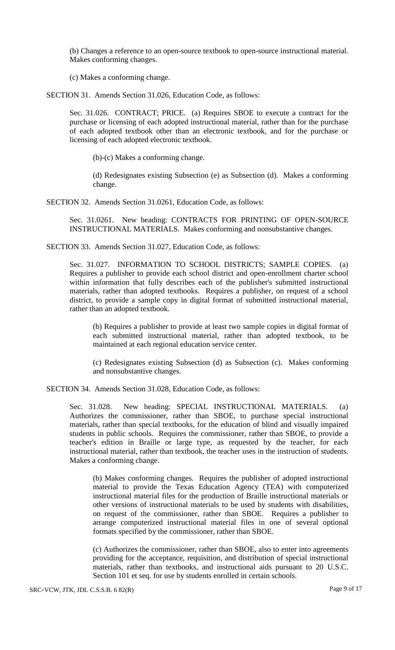(b) Changes a reference to an open-source textbook to open-source instructional material. Makes conforming changes.

(c) Makes a conforming change.

SECTION 31. Amends Section 31.026, Education Code, as follows:

Sec. 31.026. CONTRACT; PRICE. (a) Requires SBOE to execute a contract for the purchase or licensing of each adopted instructional material, rather than for the purchase of each adopted textbook other than an electronic textbook, and for the purchase or licensing of each adopted electronic textbook.

(b)-(c) Makes a conforming change.

(d) Redesignates existing Subsection (e) as Subsection (d). Makes a conforming change.

SECTION 32. Amends Section 31.0261, Education Code, as follows:

Sec. 31.0261. New heading: CONTRACTS FOR PRINTING OF OPEN-SOURCE INSTRUCTIONAL MATERIALS. Makes conforming and nonsubstantive changes.

SECTION 33. Amends Section 31.027, Education Code, as follows:

Sec. 31.027. INFORMATION TO SCHOOL DISTRICTS; SAMPLE COPIES. (a) Requires a publisher to provide each school district and open-enrollment charter school within information that fully describes each of the publisher's submitted instructional materials, rather than adopted textbooks. Requires a publisher, on request of a school district, to provide a sample copy in digital format of submitted instructional material, rather than an adopted textbook.

(b) Requires a publisher to provide at least two sample copies in digital format of each submitted instructional material, rather than adopted textbook, to be maintained at each regional education service center.

(c) Redesignates existing Subsection (d) as Subsection (c). Makes conforming and nonsubstantive changes.

SECTION 34. Amends Section 31.028, Education Code, as follows:

Sec. 31.028. New heading: SPECIAL INSTRUCTIONAL MATERIALS. (a) Authorizes the commissioner, rather than SBOE, to purchase special instructional materials, rather than special textbooks, for the education of blind and visually impaired students in public schools. Requires the commissioner, rather than SBOE, to provide a teacher's edition in Braille or large type, as requested by the teacher, for each instructional material, rather than textbook, the teacher uses in the instruction of students. Makes a conforming change.

(b) Makes conforming changes. Requires the publisher of adopted instructional material to provide the Texas Education Agency (TEA) with computerized instructional material files for the production of Braille instructional materials or other versions of instructional materials to be used by students with disabilities, on request of the commissioner, rather than SBOE. Requires a publisher to arrange computerized instructional material files in one of several optional formats specified by the commissioner, rather than SBOE.

(c) Authorizes the commissioner, rather than SBOE, also to enter into agreements providing for the acceptance, requisition, and distribution of special instructional materials, rather than textbooks, and instructional aids pursuant to 20 U.S.C. Section 101 et seq. for use by students enrolled in certain schools.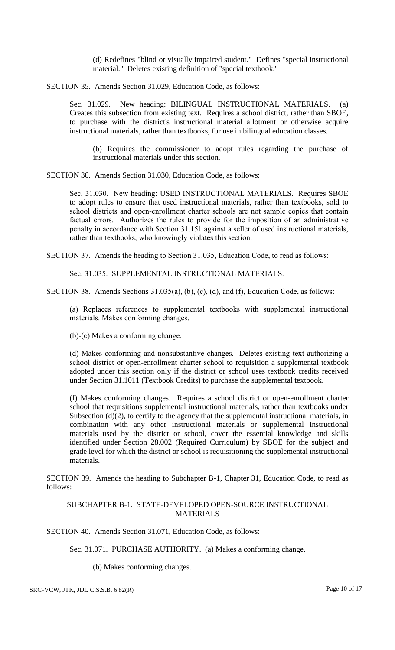(d) Redefines "blind or visually impaired student." Defines "special instructional material." Deletes existing definition of "special textbook."

SECTION 35. Amends Section 31.029, Education Code, as follows:

Sec. 31.029. New heading: BILINGUAL INSTRUCTIONAL MATERIALS. (a) Creates this subsection from existing text. Requires a school district, rather than SBOE, to purchase with the district's instructional material allotment or otherwise acquire instructional materials, rather than textbooks, for use in bilingual education classes.

(b) Requires the commissioner to adopt rules regarding the purchase of instructional materials under this section.

SECTION 36. Amends Section 31.030, Education Code, as follows:

Sec. 31.030. New heading: USED INSTRUCTIONAL MATERIALS. Requires SBOE to adopt rules to ensure that used instructional materials, rather than textbooks, sold to school districts and open-enrollment charter schools are not sample copies that contain factual errors. Authorizes the rules to provide for the imposition of an administrative penalty in accordance with Section 31.151 against a seller of used instructional materials, rather than textbooks, who knowingly violates this section.

SECTION 37. Amends the heading to Section 31.035, Education Code, to read as follows:

Sec. 31.035. SUPPLEMENTAL INSTRUCTIONAL MATERIALS.

SECTION 38. Amends Sections 31.035(a), (b), (c), (d), and (f), Education Code, as follows:

(a) Replaces references to supplemental textbooks with supplemental instructional materials. Makes conforming changes.

(b)-(c) Makes a conforming change.

(d) Makes conforming and nonsubstantive changes. Deletes existing text authorizing a school district or open-enrollment charter school to requisition a supplemental textbook adopted under this section only if the district or school uses textbook credits received under Section 31.1011 (Textbook Credits) to purchase the supplemental textbook.

(f) Makes conforming changes. Requires a school district or open-enrollment charter school that requisitions supplemental instructional materials, rather than textbooks under Subsection (d)(2), to certify to the agency that the supplemental instructional materials, in combination with any other instructional materials or supplemental instructional materials used by the district or school, cover the essential knowledge and skills identified under Section 28.002 (Required Curriculum) by SBOE for the subject and grade level for which the district or school is requisitioning the supplemental instructional materials.

SECTION 39. Amends the heading to Subchapter B-1, Chapter 31, Education Code, to read as follows:

SUBCHAPTER B-1. STATE-DEVELOPED OPEN-SOURCE INSTRUCTIONAL MATERIALS

SECTION 40. Amends Section 31.071, Education Code, as follows:

Sec. 31.071. PURCHASE AUTHORITY. (a) Makes a conforming change.

(b) Makes conforming changes.

SRC-VCW, JTK, JDL C.S.S.B. 6 82(R) Page 10 of 17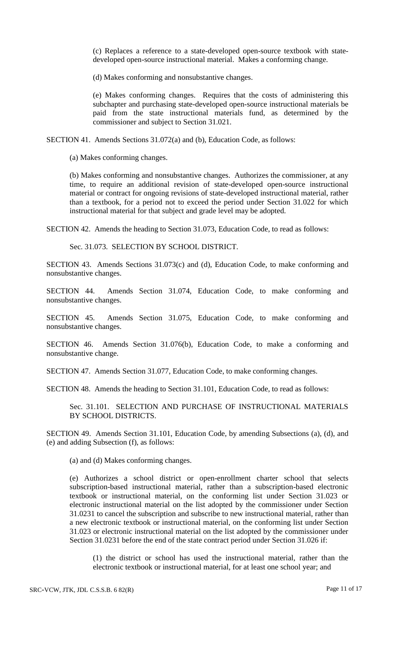(c) Replaces a reference to a state-developed open-source textbook with statedeveloped open-source instructional material. Makes a conforming change.

(d) Makes conforming and nonsubstantive changes.

(e) Makes conforming changes. Requires that the costs of administering this subchapter and purchasing state-developed open-source instructional materials be paid from the state instructional materials fund, as determined by the commissioner and subject to Section 31.021.

SECTION 41. Amends Sections 31.072(a) and (b), Education Code, as follows:

(a) Makes conforming changes.

(b) Makes conforming and nonsubstantive changes. Authorizes the commissioner, at any time, to require an additional revision of state-developed open-source instructional material or contract for ongoing revisions of state-developed instructional material, rather than a textbook, for a period not to exceed the period under Section 31.022 for which instructional material for that subject and grade level may be adopted.

SECTION 42. Amends the heading to Section 31.073, Education Code, to read as follows:

Sec. 31.073. SELECTION BY SCHOOL DISTRICT.

SECTION 43. Amends Sections 31.073(c) and (d), Education Code, to make conforming and nonsubstantive changes.

SECTION 44. Amends Section 31.074, Education Code, to make conforming and nonsubstantive changes.

SECTION 45. Amends Section 31.075, Education Code, to make conforming and nonsubstantive changes.

SECTION 46. Amends Section 31.076(b), Education Code, to make a conforming and nonsubstantive change.

SECTION 47. Amends Section 31.077, Education Code, to make conforming changes.

SECTION 48. Amends the heading to Section 31.101, Education Code, to read as follows:

Sec. 31.101. SELECTION AND PURCHASE OF INSTRUCTIONAL MATERIALS BY SCHOOL DISTRICTS.

SECTION 49. Amends Section 31.101, Education Code, by amending Subsections (a), (d), and (e) and adding Subsection (f), as follows:

(a) and (d) Makes conforming changes.

(e) Authorizes a school district or open-enrollment charter school that selects subscription-based instructional material, rather than a subscription-based electronic textbook or instructional material, on the conforming list under Section 31.023 or electronic instructional material on the list adopted by the commissioner under Section 31.0231 to cancel the subscription and subscribe to new instructional material, rather than a new electronic textbook or instructional material, on the conforming list under Section 31.023 or electronic instructional material on the list adopted by the commissioner under Section 31.0231 before the end of the state contract period under Section 31.026 if:

(1) the district or school has used the instructional material, rather than the electronic textbook or instructional material, for at least one school year; and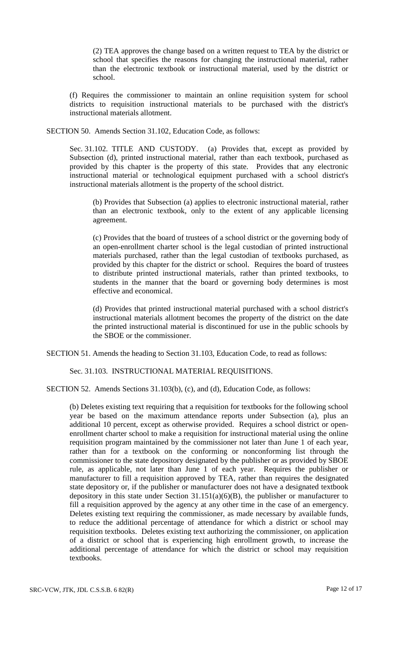(2) TEA approves the change based on a written request to TEA by the district or school that specifies the reasons for changing the instructional material, rather than the electronic textbook or instructional material, used by the district or school.

(f) Requires the commissioner to maintain an online requisition system for school districts to requisition instructional materials to be purchased with the district's instructional materials allotment.

SECTION 50. Amends Section 31.102, Education Code, as follows:

Sec. 31.102. TITLE AND CUSTODY. (a) Provides that, except as provided by Subsection (d), printed instructional material, rather than each textbook, purchased as provided by this chapter is the property of this state. Provides that any electronic instructional material or technological equipment purchased with a school district's instructional materials allotment is the property of the school district.

(b) Provides that Subsection (a) applies to electronic instructional material, rather than an electronic textbook, only to the extent of any applicable licensing agreement.

(c) Provides that the board of trustees of a school district or the governing body of an open-enrollment charter school is the legal custodian of printed instructional materials purchased, rather than the legal custodian of textbooks purchased, as provided by this chapter for the district or school. Requires the board of trustees to distribute printed instructional materials, rather than printed textbooks, to students in the manner that the board or governing body determines is most effective and economical.

(d) Provides that printed instructional material purchased with a school district's instructional materials allotment becomes the property of the district on the date the printed instructional material is discontinued for use in the public schools by the SBOE or the commissioner.

SECTION 51. Amends the heading to Section 31.103, Education Code, to read as follows:

## Sec. 31.103. INSTRUCTIONAL MATERIAL REQUISITIONS.

SECTION 52. Amends Sections 31.103(b), (c), and (d), Education Code, as follows:

(b) Deletes existing text requiring that a requisition for textbooks for the following school year be based on the maximum attendance reports under Subsection (a), plus an additional 10 percent, except as otherwise provided. Requires a school district or openenrollment charter school to make a requisition for instructional material using the online requisition program maintained by the commissioner not later than June 1 of each year, rather than for a textbook on the conforming or nonconforming list through the commissioner to the state depository designated by the publisher or as provided by SBOE rule, as applicable, not later than June 1 of each year. Requires the publisher or manufacturer to fill a requisition approved by TEA, rather than requires the designated state depository or, if the publisher or manufacturer does not have a designated textbook depository in this state under Section  $31.151(a)(6)(B)$ , the publisher or manufacturer to fill a requisition approved by the agency at any other time in the case of an emergency. Deletes existing text requiring the commissioner, as made necessary by available funds, to reduce the additional percentage of attendance for which a district or school may requisition textbooks. Deletes existing text authorizing the commissioner, on application of a district or school that is experiencing high enrollment growth, to increase the additional percentage of attendance for which the district or school may requisition textbooks.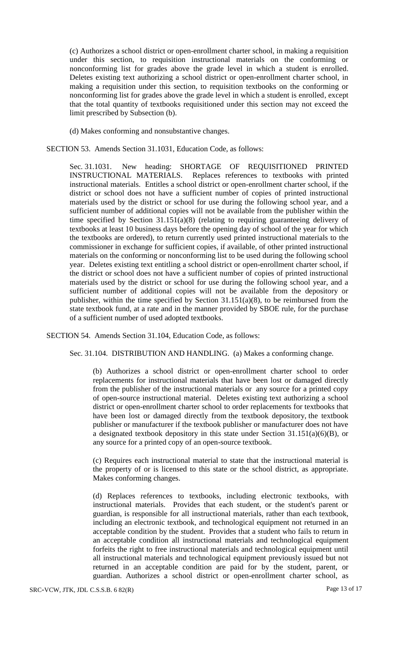(c) Authorizes a school district or open-enrollment charter school, in making a requisition under this section, to requisition instructional materials on the conforming or nonconforming list for grades above the grade level in which a student is enrolled. Deletes existing text authorizing a school district or open-enrollment charter school, in making a requisition under this section, to requisition textbooks on the conforming or nonconforming list for grades above the grade level in which a student is enrolled, except that the total quantity of textbooks requisitioned under this section may not exceed the limit prescribed by Subsection (b).

(d) Makes conforming and nonsubstantive changes.

SECTION 53. Amends Section 31.1031, Education Code, as follows:

Sec. 31.1031. New heading: SHORTAGE OF REQUISITIONED PRINTED INSTRUCTIONAL MATERIALS. Replaces references to textbooks with printed instructional materials. Entitles a school district or open-enrollment charter school, if the district or school does not have a sufficient number of copies of printed instructional materials used by the district or school for use during the following school year, and a sufficient number of additional copies will not be available from the publisher within the time specified by Section 31.151(a)(8) (relating to requiring guaranteeing delivery of textbooks at least 10 business days before the opening day of school of the year for which the textbooks are ordered), to return currently used printed instructional materials to the commissioner in exchange for sufficient copies, if available, of other printed instructional materials on the conforming or nonconforming list to be used during the following school year. Deletes existing text entitling a school district or open-enrollment charter school, if the district or school does not have a sufficient number of copies of printed instructional materials used by the district or school for use during the following school year, and a sufficient number of additional copies will not be available from the depository or publisher, within the time specified by Section 31.151(a)(8), to be reimbursed from the state textbook fund, at a rate and in the manner provided by SBOE rule, for the purchase of a sufficient number of used adopted textbooks.

SECTION 54. Amends Section 31.104, Education Code, as follows:

Sec. 31.104. DISTRIBUTION AND HANDLING. (a) Makes a conforming change.

(b) Authorizes a school district or open-enrollment charter school to order replacements for instructional materials that have been lost or damaged directly from the publisher of the instructional materials or any source for a printed copy of open-source instructional material. Deletes existing text authorizing a school district or open-enrollment charter school to order replacements for textbooks that have been lost or damaged directly from the textbook depository, the textbook publisher or manufacturer if the textbook publisher or manufacturer does not have a designated textbook depository in this state under Section 31.151(a)(6)(B), or any source for a printed copy of an open-source textbook.

(c) Requires each instructional material to state that the instructional material is the property of or is licensed to this state or the school district, as appropriate. Makes conforming changes.

(d) Replaces references to textbooks, including electronic textbooks, with instructional materials. Provides that each student, or the student's parent or guardian, is responsible for all instructional materials, rather than each textbook, including an electronic textbook, and technological equipment not returned in an acceptable condition by the student. Provides that a student who fails to return in an acceptable condition all instructional materials and technological equipment forfeits the right to free instructional materials and technological equipment until all instructional materials and technological equipment previously issued but not returned in an acceptable condition are paid for by the student, parent, or guardian. Authorizes a school district or open-enrollment charter school, as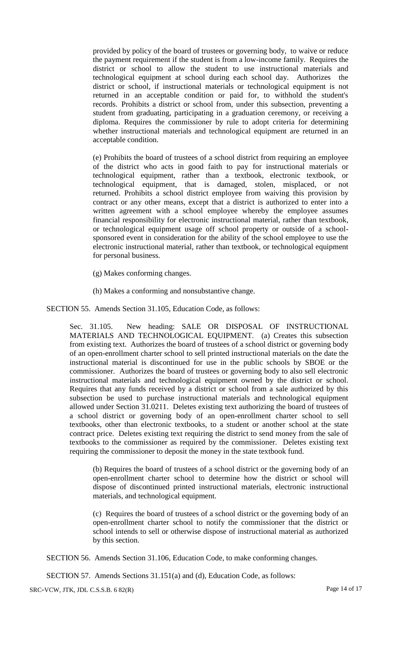provided by policy of the board of trustees or governing body, to waive or reduce the payment requirement if the student is from a low-income family. Requires the district or school to allow the student to use instructional materials and technological equipment at school during each school day. Authorizes the district or school, if instructional materials or technological equipment is not returned in an acceptable condition or paid for, to withhold the student's records. Prohibits a district or school from, under this subsection, preventing a student from graduating, participating in a graduation ceremony, or receiving a diploma. Requires the commissioner by rule to adopt criteria for determining whether instructional materials and technological equipment are returned in an acceptable condition.

(e) Prohibits the board of trustees of a school district from requiring an employee of the district who acts in good faith to pay for instructional materials or technological equipment, rather than a textbook, electronic textbook, or technological equipment, that is damaged, stolen, misplaced, or not returned. Prohibits a school district employee from waiving this provision by contract or any other means, except that a district is authorized to enter into a written agreement with a school employee whereby the employee assumes financial responsibility for electronic instructional material, rather than textbook, or technological equipment usage off school property or outside of a schoolsponsored event in consideration for the ability of the school employee to use the electronic instructional material, rather than textbook, or technological equipment for personal business.

- (g) Makes conforming changes.
- (h) Makes a conforming and nonsubstantive change.

SECTION 55. Amends Section 31.105, Education Code, as follows:

Sec. 31.105. New heading: SALE OR DISPOSAL OF INSTRUCTIONAL MATERIALS AND TECHNOLOGICAL EQUIPMENT. (a) Creates this subsection from existing text. Authorizes the board of trustees of a school district or governing body of an open-enrollment charter school to sell printed instructional materials on the date the instructional material is discontinued for use in the public schools by SBOE or the commissioner. Authorizes the board of trustees or governing body to also sell electronic instructional materials and technological equipment owned by the district or school. Requires that any funds received by a district or school from a sale authorized by this subsection be used to purchase instructional materials and technological equipment allowed under Section 31.0211. Deletes existing text authorizing the board of trustees of a school district or governing body of an open-enrollment charter school to sell textbooks, other than electronic textbooks, to a student or another school at the state contract price. Deletes existing text requiring the district to send money from the sale of textbooks to the commissioner as required by the commissioner. Deletes existing text requiring the commissioner to deposit the money in the state textbook fund.

(b) Requires the board of trustees of a school district or the governing body of an open-enrollment charter school to determine how the district or school will dispose of discontinued printed instructional materials, electronic instructional materials, and technological equipment.

(c) Requires the board of trustees of a school district or the governing body of an open-enrollment charter school to notify the commissioner that the district or school intends to sell or otherwise dispose of instructional material as authorized by this section.

SECTION 56. Amends Section 31.106, Education Code, to make conforming changes.

SECTION 57. Amends Sections 31.151(a) and (d), Education Code, as follows:

SRC-VCW, JTK, JDL C.S.S.B. 6 82(R) Page 14 of 17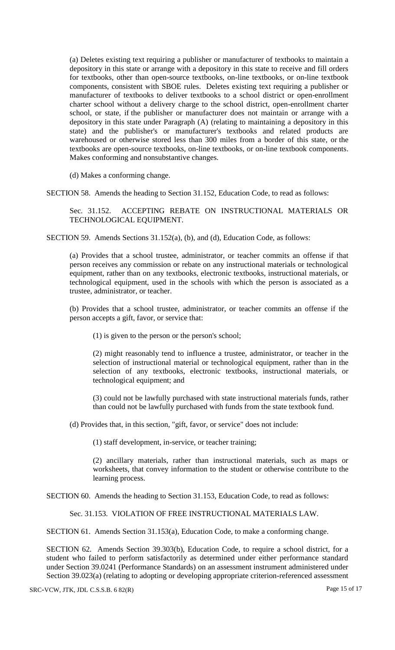(a) Deletes existing text requiring a publisher or manufacturer of textbooks to maintain a depository in this state or arrange with a depository in this state to receive and fill orders for textbooks, other than open-source textbooks, on-line textbooks, or on-line textbook components, consistent with SBOE rules. Deletes existing text requiring a publisher or manufacturer of textbooks to deliver textbooks to a school district or open-enrollment charter school without a delivery charge to the school district, open-enrollment charter school, or state, if the publisher or manufacturer does not maintain or arrange with a depository in this state under Paragraph (A) (relating to maintaining a depository in this state) and the publisher's or manufacturer's textbooks and related products are warehoused or otherwise stored less than 300 miles from a border of this state, or the textbooks are open-source textbooks, on-line textbooks, or on-line textbook components. Makes conforming and nonsubstantive changes.

(d) Makes a conforming change.

SECTION 58. Amends the heading to Section 31.152, Education Code, to read as follows:

Sec. 31.152. ACCEPTING REBATE ON INSTRUCTIONAL MATERIALS OR TECHNOLOGICAL EQUIPMENT.

SECTION 59. Amends Sections 31.152(a), (b), and (d), Education Code, as follows:

(a) Provides that a school trustee, administrator, or teacher commits an offense if that person receives any commission or rebate on any instructional materials or technological equipment, rather than on any textbooks, electronic textbooks, instructional materials, or technological equipment, used in the schools with which the person is associated as a trustee, administrator, or teacher.

(b) Provides that a school trustee, administrator, or teacher commits an offense if the person accepts a gift, favor, or service that:

(1) is given to the person or the person's school;

(2) might reasonably tend to influence a trustee, administrator, or teacher in the selection of instructional material or technological equipment, rather than in the selection of any textbooks, electronic textbooks, instructional materials, or technological equipment; and

(3) could not be lawfully purchased with state instructional materials funds, rather than could not be lawfully purchased with funds from the state textbook fund.

(d) Provides that, in this section, "gift, favor, or service" does not include:

(1) staff development, in-service, or teacher training;

(2) ancillary materials, rather than instructional materials, such as maps or worksheets, that convey information to the student or otherwise contribute to the learning process.

SECTION 60. Amends the heading to Section 31.153, Education Code, to read as follows:

Sec. 31.153. VIOLATION OF FREE INSTRUCTIONAL MATERIALS LAW.

SECTION 61. Amends Section 31.153(a), Education Code, to make a conforming change.

SECTION 62. Amends Section 39.303(b), Education Code, to require a school district, for a student who failed to perform satisfactorily as determined under either performance standard under Section 39.0241 (Performance Standards) on an assessment instrument administered under Section 39.023(a) (relating to adopting or developing appropriate criterion-referenced assessment

SRC-VCW, JTK, JDL C.S.S.B. 6 82(R) Page 15 of 17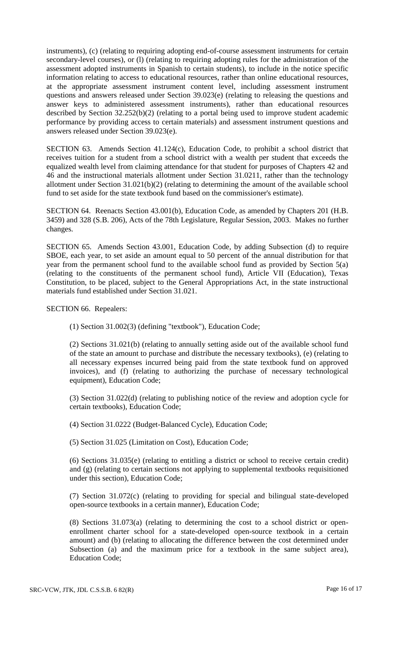instruments), (c) (relating to requiring adopting end-of-course assessment instruments for certain secondary-level courses), or (1) (relating to requiring adopting rules for the administration of the assessment adopted instruments in Spanish to certain students), to include in the notice specific information relating to access to educational resources, rather than online educational resources, at the appropriate assessment instrument content level, including assessment instrument questions and answers released under Section 39.023(e) (relating to releasing the questions and answer keys to administered assessment instruments), rather than educational resources described by Section 32.252(b)(2) (relating to a portal being used to improve student academic performance by providing access to certain materials) and assessment instrument questions and answers released under Section 39.023(e).

SECTION 63. Amends Section 41.124(c), Education Code, to prohibit a school district that receives tuition for a student from a school district with a wealth per student that exceeds the equalized wealth level from claiming attendance for that student for purposes of Chapters 42 and 46 and the instructional materials allotment under Section 31.0211, rather than the technology allotment under Section 31.021(b)(2) (relating to determining the amount of the available school fund to set aside for the state textbook fund based on the commissioner's estimate).

SECTION 64. Reenacts Section 43.001(b), Education Code, as amended by Chapters 201 (H.B. 3459) and 328 (S.B. 206), Acts of the 78th Legislature, Regular Session, 2003. Makes no further changes.

SECTION 65. Amends Section 43.001, Education Code, by adding Subsection (d) to require SBOE, each year, to set aside an amount equal to 50 percent of the annual distribution for that year from the permanent school fund to the available school fund as provided by Section 5(a) (relating to the constituents of the permanent school fund), Article VII (Education), Texas Constitution, to be placed, subject to the General Appropriations Act, in the state instructional materials fund established under Section 31.021.

SECTION 66. Repealers:

(1) Section 31.002(3) (defining "textbook"), Education Code;

(2) Sections 31.021(b) (relating to annually setting aside out of the available school fund of the state an amount to purchase and distribute the necessary textbooks), (e) (relating to all necessary expenses incurred being paid from the state textbook fund on approved invoices), and (f) (relating to authorizing the purchase of necessary technological equipment), Education Code;

(3) Section 31.022(d) (relating to publishing notice of the review and adoption cycle for certain textbooks), Education Code;

(4) Section 31.0222 (Budget-Balanced Cycle), Education Code;

(5) Section 31.025 (Limitation on Cost), Education Code;

(6) Sections 31.035(e) (relating to entitling a district or school to receive certain credit) and (g) (relating to certain sections not applying to supplemental textbooks requisitioned under this section), Education Code;

(7) Section 31.072(c) (relating to providing for special and bilingual state-developed open-source textbooks in a certain manner), Education Code;

(8) Sections 31.073(a) (relating to determining the cost to a school district or openenrollment charter school for a state-developed open-source textbook in a certain amount) and (b) (relating to allocating the difference between the cost determined under Subsection (a) and the maximum price for a textbook in the same subject area), Education Code;